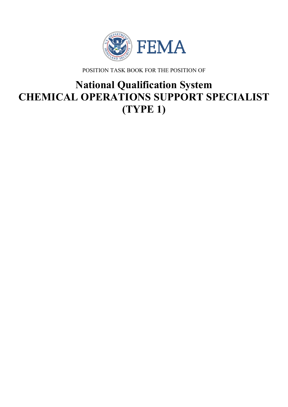

POSITION TASK BOOK FOR THE POSITION OF

# **National Qualification System CHEMICAL OPERATIONS SUPPORT SPECIALIST (TYPE 1)**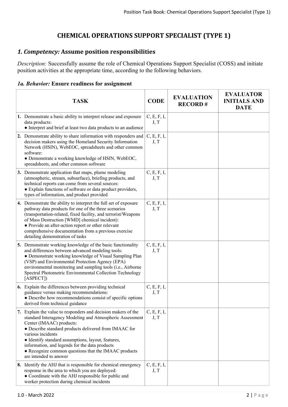# **CHEMICAL OPERATIONS SUPPORT SPECIALIST (TYPE 1)**

# *1. Competency:* **Assume position responsibilities**

*Description:* Successfully assume the role of Chemical Operations Support Specialist (COSS) and initiate position activities at the appropriate time, according to the following behaviors.

#### *1a. Behavior:* **Ensure readiness for assignment**

| <b>TASK</b>                                                                                                                                                                                                                                                                                                                                                                                                                   | <b>CODE</b>         | <b>EVALUATION</b><br><b>RECORD#</b> | <b>EVALUATOR</b><br><b>INITIALS AND</b><br><b>DATE</b> |
|-------------------------------------------------------------------------------------------------------------------------------------------------------------------------------------------------------------------------------------------------------------------------------------------------------------------------------------------------------------------------------------------------------------------------------|---------------------|-------------------------------------|--------------------------------------------------------|
| 1. Demonstrate a basic ability to interpret release and exposure<br>data products:<br>• Interpret and brief at least two data products to an audience                                                                                                                                                                                                                                                                         | C, E, F, I,<br>J, T |                                     |                                                        |
| 2. Demonstrate ability to share information with responders and<br>decision makers using the Homeland Security Information<br>Network (HSIN), WebEOC, spreadsheets and other common<br>software:<br>· Demonstrate a working knowledge of HSIN, WebEOC,<br>spreadsheets, and other common software                                                                                                                             | C, E, F, I,<br>J, T |                                     |                                                        |
| 3. Demonstrate application that maps, plume modeling<br>(atmospheric, stream, subsurface), briefing products, and<br>technical reports can come from several sources:<br>• Explain functions of software or data product providers,<br>types of information, and product provided                                                                                                                                             | C, E, F, I,<br>J, T |                                     |                                                        |
| 4. Demonstrate the ability to interpret the full set of exposure<br>pathway data products for one of the three scenarios<br>(transportation-related, fixed facility, and terrorist/Weapons<br>of Mass Destruction [WMD] chemical incident):<br>• Provide an after-action report or other relevant<br>comprehensive documentation from a previous exercise<br>detailing demonstration of tasks                                 | C, E, F, I,<br>J, T |                                     |                                                        |
| 5. Demonstrate working knowledge of the basic functionality<br>and differences between advanced modeling tools:<br>• Demonstrate working knowledge of Visual Sampling Plan<br>(VSP) and Environmental Protection Agency (EPA)<br>environmental monitoring and sampling tools (i.e., Airborne<br>Spectral Photometric Environmental Collection Technology<br>[ASPECT]                                                          | C, E, F, I,<br>J, T |                                     |                                                        |
| 6. Explain the differences between providing technical<br>guidance versus making recommendations:<br>· Describe how recommendations consist of specific options<br>derived from technical guidance                                                                                                                                                                                                                            | C, E, F, I,<br>J, T |                                     |                                                        |
| 7. Explain the value to responders and decision makers of the<br>standard Interagency Modeling and Atmospheric Assessment<br>Center (IMAAC) products:<br>• Describe standard products delivered from IMAAC for<br>various incidents<br>· Identify standard assumptions, layout, features,<br>information, and legends for the data products<br>• Recognize common questions that the IMAAC products<br>are intended to answer | C, E, F, I,<br>J, T |                                     |                                                        |
| 8. Identify the AHJ that is responsible for chemical emergency<br>response in the area to which you are deployed:<br>• Coordinate with the AHJ responsible for public and<br>worker protection during chemical incidents                                                                                                                                                                                                      | C, E, F, I,<br>J, T |                                     |                                                        |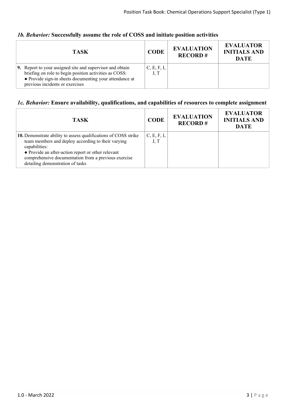## *1b. Behavior:* **Successfully assume the role of COSS and initiate position activities**

| <b>TASK</b>                                                                                                                                                                                                       | <b>CODE</b>         | <b>EVALUATION</b><br><b>RECORD#</b> | <b>EVALUATOR</b><br><b>INITIALS AND</b><br><b>DATE</b> |
|-------------------------------------------------------------------------------------------------------------------------------------------------------------------------------------------------------------------|---------------------|-------------------------------------|--------------------------------------------------------|
| 9. Report to your assigned site and supervisor and obtain<br>briefing on role to begin position activities as COSS:<br>• Provide sign-in sheets documenting your attendance at<br>previous incidents or exercises | C, E, F, I,<br>J, T |                                     |                                                        |

## *1c. Behavior:* **Ensure availability, qualifications, and capabilities of resources to complete assignment**

| <b>TASK</b>                                                                                                                                                                                                                                                                              | <b>CODE</b>         | <b>EVALUATION</b><br><b>RECORD#</b> | <b>EVALUATOR</b><br><b>INITIALS AND</b><br><b>DATE</b> |
|------------------------------------------------------------------------------------------------------------------------------------------------------------------------------------------------------------------------------------------------------------------------------------------|---------------------|-------------------------------------|--------------------------------------------------------|
| 10. Demonstrate ability to assess qualifications of COSS strike<br>team members and deploy according to their varying<br>capabilities:<br>• Provide an after-action report or other relevant<br>comprehensive documentation from a previous exercise<br>detailing demonstration of tasks | C, E, F, I,<br>J, T |                                     |                                                        |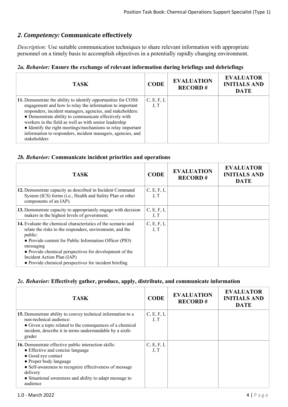# *2. Competency:* **Communicate effectively**

*Description:* Use suitable communication techniques to share relevant information with appropriate personnel on a timely basis to accomplish objectives in a potentially rapidly changing environment.

## *2a. Behavior:* **Ensure the exchange of relevant information during briefings and debriefings**

| <b>TASK</b>                                                                                                                                                                                                                                                                                                                                                                                                                                               | <b>CODE</b>         | <b>EVALUATION</b><br><b>RECORD#</b> | <b>EVALUATOR</b><br><b>INITIALS AND</b><br><b>DATE</b> |
|-----------------------------------------------------------------------------------------------------------------------------------------------------------------------------------------------------------------------------------------------------------------------------------------------------------------------------------------------------------------------------------------------------------------------------------------------------------|---------------------|-------------------------------------|--------------------------------------------------------|
| 11. Demonstrate the ability to identify opportunities for COSS<br>engagement and how to relay the information to important<br>responders, incident managers, agencies, and stakeholders:<br>• Demonstrate ability to communicate effectively with<br>workers in the field as well as with senior leadership<br>• Identify the right meetings/mechanisms to relay important<br>information to responders, incident managers, agencies, and<br>stakeholders | C, E, F, I,<br>J, T |                                     |                                                        |

#### *2b. Behavior:* **Communicate incident priorities and operations**

| <b>TASK</b>                                                                                                                                                                                                                                                                                                                                                  | <b>CODE</b>         | <b>EVALUATION</b><br><b>RECORD#</b> | <b>EVALUATOR</b><br><b>INITIALS AND</b><br><b>DATE</b> |
|--------------------------------------------------------------------------------------------------------------------------------------------------------------------------------------------------------------------------------------------------------------------------------------------------------------------------------------------------------------|---------------------|-------------------------------------|--------------------------------------------------------|
| 12. Demonstrate capacity as described in Incident Command<br>System (ICS) forms (i.e., Health and Safety Plan or other<br>components of an IAP).                                                                                                                                                                                                             | C, E, F, I,<br>J, T |                                     |                                                        |
| 13. Demonstrate capacity to appropriately engage with decision<br>makers in the highest levels of government.                                                                                                                                                                                                                                                | C, E, F, I,<br>J, T |                                     |                                                        |
| 14. Evaluate the chemical characteristics of the scenario and<br>relate the risks to the responders, environment, and the<br>public:<br>• Provide content for Public Information Officer (PIO)<br>messaging<br>• Provide chemical perspectives for development of the<br>Incident Action Plan (IAP)<br>• Provide chemical perspectives for incident briefing | C, E, F, I,<br>J, T |                                     |                                                        |

#### *2c. Behavior:* **Effectively gather, produce, apply, distribute, and communicate information**

| <b>TASK</b>                                                                                                                                                                                                                                                                           | <b>CODE</b>         | <b>EVALUATION</b><br><b>RECORD#</b> | <b>EVALUATOR</b><br><b>INITIALS AND</b><br><b>DATE</b> |
|---------------------------------------------------------------------------------------------------------------------------------------------------------------------------------------------------------------------------------------------------------------------------------------|---------------------|-------------------------------------|--------------------------------------------------------|
| 15. Demonstrate ability to convey technical information to a<br>non-technical audience:<br>• Given a topic related to the consequences of a chemical<br>incident, describe it in terms understandable by a sixth-<br>grader                                                           | C, E, F, I,<br>J, T |                                     |                                                        |
| 16. Demonstrate effective public interaction skills:<br>• Effective and concise language<br>• Good eye contact<br>• Proper body language<br>• Self-awareness to recognize effectiveness of message<br>delivery<br>• Situational awareness and ability to adapt message to<br>audience | C, E, F, I,<br>J, T |                                     |                                                        |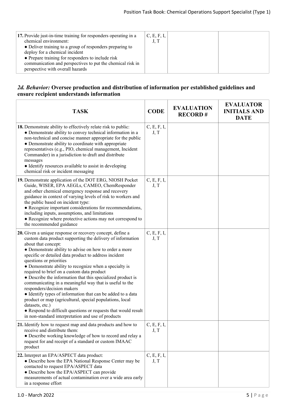| 17. Provide just-in-time training for responders operating in a | C, E, F, I, |  |
|-----------------------------------------------------------------|-------------|--|
| chemical environment:                                           | J, T        |  |
| • Deliver training to a group of responders preparing to        |             |  |
| deploy for a chemical incident                                  |             |  |
| • Prepare training for responders to include risk               |             |  |
| communication and perspectives to put the chemical risk in      |             |  |
| perspective with overall hazards                                |             |  |
|                                                                 |             |  |

#### *2d. Behavior:* **Oversee production and distribution of information per established guidelines and ensure recipient understands information**

| <b>TASK</b>                                                                                                                                                                                                                                                                                                                                                                                                                                                                                                                                                                                                                                                                                                                                                                                                                        | <b>CODE</b>         | <b>EVALUATION</b><br><b>RECORD#</b> | <b>EVALUATOR</b><br><b>INITIALS AND</b><br><b>DATE</b> |
|------------------------------------------------------------------------------------------------------------------------------------------------------------------------------------------------------------------------------------------------------------------------------------------------------------------------------------------------------------------------------------------------------------------------------------------------------------------------------------------------------------------------------------------------------------------------------------------------------------------------------------------------------------------------------------------------------------------------------------------------------------------------------------------------------------------------------------|---------------------|-------------------------------------|--------------------------------------------------------|
| 18. Demonstrate ability to effectively relate risk to public:<br>• Demonstrate ability to convey technical information in a<br>non-technical and concise manner appropriate for the public<br>• Demonstrate ability to coordinate with appropriate<br>representatives (e.g., PIO, chemical management, Incident<br>Commander) in a jurisdiction to draft and distribute<br>messages<br>• Identify resources available to assist in developing<br>chemical risk or incident messaging                                                                                                                                                                                                                                                                                                                                               | C, E, F, I,<br>J, T |                                     |                                                        |
| 19. Demonstrate application of the DOT ERG, NIOSH Pocket<br>Guide, WISER, EPA AEGLs, CAMEO, ChemResponder<br>and other chemical emergency response and recovery<br>guidance in context of varying levels of risk to workers and<br>the public based on incident type:<br>• Recognize important considerations for recommendations,<br>including inputs, assumptions, and limitations<br>• Recognize where protective actions may not correspond to<br>the recommended guidance                                                                                                                                                                                                                                                                                                                                                     | C, E, F, I,<br>J, T |                                     |                                                        |
| 20. Given a unique response or recovery concept, define a<br>custom data product supporting the delivery of information<br>about that concept:<br>• Demonstrate ability to advise on how to order a more<br>specific or detailed data product to address incident<br>questions or priorities<br>• Demonstrate ability to recognize when a specialty is<br>required to brief on a custom data product<br>• Describe the information that this specialized product is<br>communicating in a meaningful way that is useful to the<br>responders/decision makers<br>• Identify types of information that can be added to a data<br>product or map (agricultural, special populations, local<br>datasets, etc.)<br>• Respond to difficult questions or requests that would result<br>in non-standard interpretation and use of products | C, E, F, I,<br>J, T |                                     |                                                        |
| 21. Identify how to request map and data products and how to<br>receive and distribute them:<br>• Describe working knowledge of how to record and relay a<br>request for and receipt of a standard or custom IMAAC<br>product                                                                                                                                                                                                                                                                                                                                                                                                                                                                                                                                                                                                      | C, E, F, I,<br>J, T |                                     |                                                        |
| 22. Interpret an EPA/ASPECT data product:<br>• Describe how the EPA National Response Center may be<br>contacted to request EPA/ASPECT data<br>• Describe how the EPA/ASPECT can provide<br>measurements of actual contamination over a wide area early<br>in a response effort                                                                                                                                                                                                                                                                                                                                                                                                                                                                                                                                                    | C, E, F, I,<br>J, T |                                     |                                                        |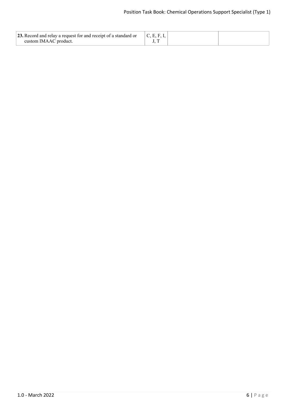| <b>23.</b> Record and relay a request for and receipt of a standard or<br>custom IMAAC product. | C, E, F, I, |  |
|-------------------------------------------------------------------------------------------------|-------------|--|
|                                                                                                 |             |  |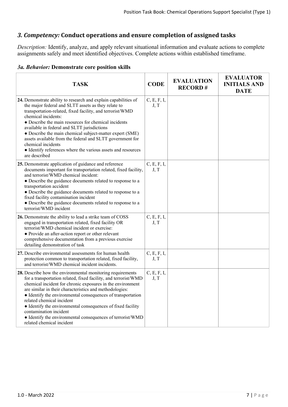# *3. Competency:* **Conduct operations and ensure completion of assigned tasks**

*Description:* Identify, analyze, and apply relevant situational information and evaluate actions to complete assignments safely and meet identified objectives. Complete actions within established timeframe.

#### *3a. Behavior:* **Demonstrate core position skills**

| <b>TASK</b>                                                                                                                                                                                                                                                                                                                                                                                                                                                                                                                                       | <b>CODE</b>         | <b>EVALUATION</b><br><b>RECORD#</b> | <b>EVALUATOR</b><br><b>INITIALS AND</b><br><b>DATE</b> |
|---------------------------------------------------------------------------------------------------------------------------------------------------------------------------------------------------------------------------------------------------------------------------------------------------------------------------------------------------------------------------------------------------------------------------------------------------------------------------------------------------------------------------------------------------|---------------------|-------------------------------------|--------------------------------------------------------|
| 24. Demonstrate ability to research and explain capabilities of<br>the major federal and SLTT assets as they relate to<br>transportation-related, fixed facility, and terrorist/WMD<br>chemical incidents:<br>• Describe the main resources for chemical incidents<br>available in federal and SLTT jurisdictions<br>• Describe the main chemical subject-matter expert (SME)<br>assets available from the federal and SLTT government for<br>chemical incidents<br>• Identify references where the various assets and resources<br>are described | C, E, F, I,<br>J, T |                                     |                                                        |
| 25. Demonstrate application of guidance and reference<br>documents important for transportation related, fixed facility,<br>and terrorist/WMD chemical incident:<br>• Describe the guidance documents related to response to a<br>transportation accident<br>• Describe the guidance documents related to response to a<br>fixed facility contamination incident<br>• Describe the guidance documents related to response to a<br>terrorist/WMD incident                                                                                          | C, E, F, I,<br>J, T |                                     |                                                        |
| 26. Demonstrate the ability to lead a strike team of COSS<br>engaged in transportation related, fixed facility OR<br>terrorist/WMD chemical incident or exercise:<br>• Provide an after-action report or other relevant<br>comprehensive documentation from a previous exercise<br>detailing demonstration of task                                                                                                                                                                                                                                | C, E, F, I,<br>J, T |                                     |                                                        |
| 27. Describe environmental assessments for human health<br>protection common to transportation related, fixed facility,<br>and terrorist/WMD chemical incident incidents.                                                                                                                                                                                                                                                                                                                                                                         | C, E, F, I,<br>J, T |                                     |                                                        |
| 28. Describe how the environmental monitoring requirements<br>for a transportation related, fixed facility, and terrorist/WMD<br>chemical incident for chronic exposures in the environment<br>are similar in their characteristics and methodologies:<br>• Identify the environmental consequences of transportation<br>related chemical incident<br>• Identify the environmental consequences of fixed facility<br>contamination incident<br>• Identify the environmental consequences of terrorist/WMD<br>related chemical incident            | C, E, F, I,<br>J, T |                                     |                                                        |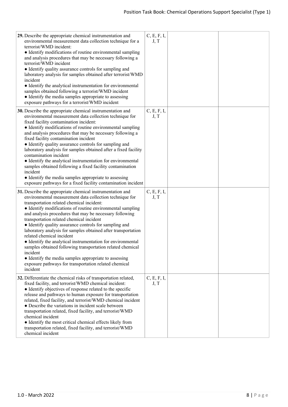| 29. Describe the appropriate chemical instrumentation and<br>environmental measurement data collection technique for a<br>terrorist/WMD incident:<br>• Identify modifications of routine environmental sampling<br>and analysis procedures that may be necessary following a<br>terrorist/WMD incident<br>• Identify quality assurance controls for sampling and<br>laboratory analysis for samples obtained after terrorist/WMD<br>incident<br>• Identify the analytical instrumentation for environmental<br>samples obtained following a terrorist/WMD incident<br>• Identify the media samples appropriate to assessing<br>exposure pathways for a terrorist/WMD incident                                                                                         | C, E, F, I,<br>J, T |  |
|-----------------------------------------------------------------------------------------------------------------------------------------------------------------------------------------------------------------------------------------------------------------------------------------------------------------------------------------------------------------------------------------------------------------------------------------------------------------------------------------------------------------------------------------------------------------------------------------------------------------------------------------------------------------------------------------------------------------------------------------------------------------------|---------------------|--|
| 30. Describe the appropriate chemical instrumentation and<br>environmental measurement data collection technique for<br>fixed facility contamination incident:<br>• Identify modifications of routine environmental sampling<br>and analysis procedures that may be necessary following a<br>fixed facility contamination incident<br>• Identify quality assurance controls for sampling and<br>laboratory analysis for samples obtained after a fixed facility<br>contamination incident<br>• Identify the analytical instrumentation for environmental<br>samples obtained following a fixed facility contamination<br>incident<br>• Identify the media samples appropriate to assessing<br>exposure pathways for a fixed facility contamination incident           | C, E, F, I,<br>J, T |  |
| 31. Describe the appropriate chemical instrumentation and<br>environmental measurement data collection technique for<br>transportation related chemical incident:<br>• Identify modifications of routine environmental sampling<br>and analysis procedures that may be necessary following<br>transportation related chemical incident<br>• Identify quality assurance controls for sampling and<br>laboratory analysis for samples obtained after transportation<br>related chemical incident<br>• Identify the analytical instrumentation for environmental<br>samples obtained following transportation related chemical<br>incident<br>• Identify the media samples appropriate to assessing<br>exposure pathways for transportation related chemical<br>incident | C, E, F, I,<br>J, T |  |
| 32. Differentiate the chemical risks of transportation related,<br>fixed facility, and terrorist/WMD chemical incident:<br>• Identify objectives of response related to the specific<br>release and pathways to human exposure for transportation<br>related, fixed facility, and terrorist/WMD chemical incident<br>• Describe the variations in incident scale between<br>transportation related, fixed facility, and terrorist/WMD<br>chemical incident<br>• Identify the most critical chemical effects likely from<br>transportation related, fixed facility, and terrorist/WMD<br>chemical incident                                                                                                                                                             | C, E, F, I,<br>J, T |  |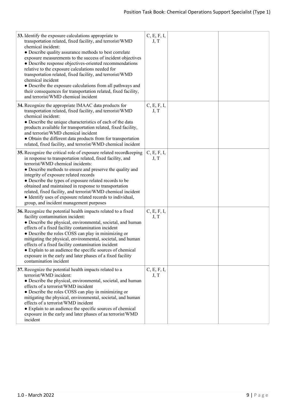| 33. Identify the exposure calculations appropriate to<br>transportation related, fixed facility, and terrorist/WMD<br>chemical incident:<br>• Describe quality assurance methods to best correlate<br>exposure measurements to the success of incident objectives<br>• Describe response objectives-oriented recommendations<br>relative to the exposure calculations needed for<br>transportation related, fixed facility, and terrorist/WMD<br>chemical incident<br>• Describe the exposure calculations from all pathways and<br>their consequences for transportation related, fixed facility,<br>and terrorist/WMD chemical incident | C, E, F, I,<br>J, T |  |
|-------------------------------------------------------------------------------------------------------------------------------------------------------------------------------------------------------------------------------------------------------------------------------------------------------------------------------------------------------------------------------------------------------------------------------------------------------------------------------------------------------------------------------------------------------------------------------------------------------------------------------------------|---------------------|--|
| 34. Recognize the appropriate IMAAC data products for<br>transportation related, fixed facility, and terrorist/WMD<br>chemical incident:<br>• Describe the unique characteristics of each of the data<br>products available for transportation related, fixed facility,<br>and terrorist/WMD chemical incident<br>• Obtain the different data products from for transportation<br>related, fixed facility, and terrorist/WMD chemical incident                                                                                                                                                                                            | C, E, F, I,<br>J, T |  |
| 35. Recognize the critical role of exposure related recordkeeping<br>in response to transportation related, fixed facility, and<br>terrorist/WMD chemical incidents:<br>• Describe methods to ensure and preserve the quality and<br>integrity of exposure related records<br>• Describe the types of exposure related records to be<br>obtained and maintained in response to transportation<br>related, fixed facility, and terrorist/WMD chemical incident<br>• Identify uses of exposure related records to individual,<br>group, and incident management purposes                                                                    | C, E, F, I,<br>J, T |  |
| 36. Recognize the potential health impacts related to a fixed<br>facility contamination incident:<br>• Describe the physical, environmental, societal, and human<br>effects of a fixed facility contamination incident<br>· Describe the roles COSS can play in minimizing or<br>mitigating the physical, environmental, societal, and human<br>effects of a fixed facility contamination incident<br>• Explain to an audience the specific sources of chemical<br>exposure in the early and later phases of a fixed facility<br>contamination incident                                                                                   | C, E, F, I,<br>J, T |  |
| 37. Recognize the potential health impacts related to a<br>terrorist/WMD incident:<br>· Describe the physical, environmental, societal, and human<br>effects of a terrorist/WMD incident<br>• Describe the roles COSS can play in minimizing or<br>mitigating the physical, environmental, societal, and human<br>effects of a terrorist/WMD incident<br>• Explain to an audience the specific sources of chemical<br>exposure in the early and later phases of aa terrorist/WMD<br>incident                                                                                                                                              | C, E, F, I,<br>J, T |  |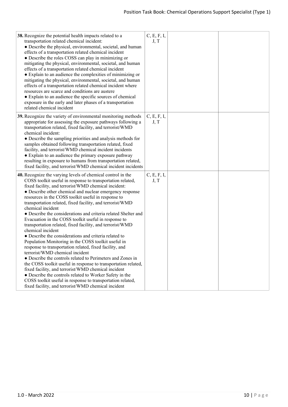| 38. Recognize the potential health impacts related to a<br>transportation related chemical incident:<br>• Describe the physical, environmental, societal, and human<br>effects of a transportation related chemical incident<br>• Describe the roles COSS can play in minimizing or<br>mitigating the physical, environmental, societal, and human<br>effects of a transportation related chemical incident<br>• Explain to an audience the complexities of minimizing or<br>mitigating the physical, environmental, societal, and human<br>effects of a transportation related chemical incident where<br>resources are scarce and conditions are austere<br>• Explain to an audience the specific sources of chemical<br>exposure in the early and later phases of a transportation<br>related chemical incident                                                                                                                                                                                                                                                                                                                                                                      | C, E, F, I,<br>J, T |  |
|-----------------------------------------------------------------------------------------------------------------------------------------------------------------------------------------------------------------------------------------------------------------------------------------------------------------------------------------------------------------------------------------------------------------------------------------------------------------------------------------------------------------------------------------------------------------------------------------------------------------------------------------------------------------------------------------------------------------------------------------------------------------------------------------------------------------------------------------------------------------------------------------------------------------------------------------------------------------------------------------------------------------------------------------------------------------------------------------------------------------------------------------------------------------------------------------|---------------------|--|
| 39. Recognize the variety of environmental monitoring methods<br>appropriate for assessing the exposure pathways following a<br>transportation related, fixed facility, and terrorist/WMD<br>chemical incident:<br>• Describe the sampling priorities and analysis methods for<br>samples obtained following transportation related, fixed<br>facility, and terrorist/WMD chemical incident incidents<br>• Explain to an audience the primary exposure pathway<br>resulting in exposure to humans from transportation related,<br>fixed facility, and terrorist/WMD chemical incident incidents                                                                                                                                                                                                                                                                                                                                                                                                                                                                                                                                                                                         | C, E, F, I,<br>J, T |  |
| 40. Recognize the varying levels of chemical control in the<br>COSS toolkit useful in response to transportation related,<br>fixed facility, and terrorist/WMD chemical incident:<br>• Describe other chemical and nuclear emergency response<br>resources in the COSS toolkit useful in response to<br>transportation related, fixed facility, and terrorist/WMD<br>chemical incident<br>• Describe the considerations and criteria related Shelter and<br>Evacuation in the COSS toolkit useful in response to<br>transportation related, fixed facility, and terrorist/WMD<br>chemical incident<br>• Describe the considerations and criteria related to<br>Population Monitoring in the COSS toolkit useful in<br>response to transportation related, fixed facility, and<br>terrorist/WMD chemical incident<br>• Describe the controls related to Perimeters and Zones in<br>the COSS toolkit useful in response to transportation related,<br>fixed facility, and terrorist/WMD chemical incident<br>• Describe the controls related to Worker Safety in the<br>COSS toolkit useful in response to transportation related,<br>fixed facility, and terrorist/WMD chemical incident | C, E, F, I,<br>J, T |  |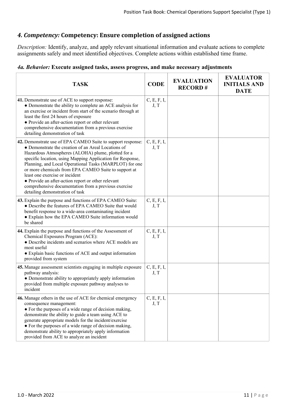# *4. Competency:* **Competency: Ensure completion of assigned actions**

*Description:* Identify, analyze, and apply relevant situational information and evaluate actions to complete assignments safely and meet identified objectives. Complete actions within established time frame.

## *4a. Behavior:* **Execute assigned tasks, assess progress, and make necessary adjustments**

| <b>TASK</b>                                                                                                                                                                                                                                                                                                                                                                                                                                                                                                                                  | <b>CODE</b>         | <b>EVALUATION</b><br><b>RECORD#</b> | <b>EVALUATOR</b><br><b>INITIALS AND</b><br><b>DATE</b> |
|----------------------------------------------------------------------------------------------------------------------------------------------------------------------------------------------------------------------------------------------------------------------------------------------------------------------------------------------------------------------------------------------------------------------------------------------------------------------------------------------------------------------------------------------|---------------------|-------------------------------------|--------------------------------------------------------|
| 41. Demonstrate use of ACE to support response:<br>• Demonstrate the ability to complete an ACE analysis for<br>an exercise or incident from start of the scenario through at<br>least the first 24 hours of exposure<br>• Provide an after-action report or other relevant<br>comprehensive documentation from a previous exercise<br>detailing demonstration of task                                                                                                                                                                       | C, E, F, I,<br>J, T |                                     |                                                        |
| 42. Demonstrate use of EPA CAMEO Suite to support response:<br>• Demonstrate the creation of an Areal Locations of<br>Hazardous Atmospheres (ALOHA) plume, plotted for a<br>specific location, using Mapping Application for Response,<br>Planning, and Local Operational Tasks (MARPLOT) for one<br>or more chemicals from EPA CAMEO Suite to support at<br>least one exercise or incident<br>• Provide an after-action report or other relevant<br>comprehensive documentation from a previous exercise<br>detailing demonstration of task | C, E, F, I,<br>J, T |                                     |                                                        |
| 43. Explain the purpose and functions of EPA CAMEO Suite:<br>• Describe the features of EPA CAMEO Suite that would<br>benefit response to a wide-area contaminating incident<br>• Explain how the EPA CAMEO Suite information would<br>be shared                                                                                                                                                                                                                                                                                             | C, E, F, I,<br>J, T |                                     |                                                        |
| 44. Explain the purpose and functions of the Assessment of<br>Chemical Exposures Program (ACE):<br>• Describe incidents and scenarios where ACE models are<br>most useful<br>• Explain basic functions of ACE and output information<br>provided from system                                                                                                                                                                                                                                                                                 | C, E, F, I,<br>J, T |                                     |                                                        |
| 45. Manage assessment scientists engaging in multiple exposure<br>pathway analysis:<br>• Demonstrate ability to appropriately apply information<br>provided from multiple exposure pathway analyses to<br>incident                                                                                                                                                                                                                                                                                                                           | C, E, F, I,<br>J, T |                                     |                                                        |
| 46. Manage others in the use of ACE for chemical emergency<br>consequence management:<br>• For the purposes of a wide range of decision making,<br>demonstrate the ability to guide a team using ACE to<br>generate appropriate models for the incident/exercise<br>• For the purposes of a wide range of decision making,<br>demonstrate ability to appropriately apply information<br>provided from ACE to analyze an incident                                                                                                             | C, E, F, I,<br>J, T |                                     |                                                        |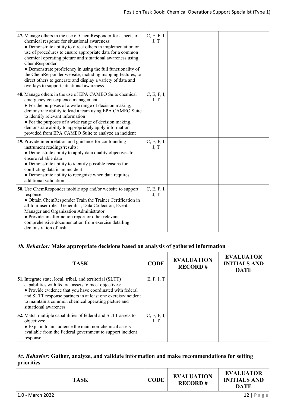| 47. Manage others in the use of ChemResponder for aspects of<br>chemical response for situational awareness:<br>• Demonstrate ability to direct others in implementation or<br>use of procedures to ensure appropriate data for a common<br>chemical operating picture and situational awareness using<br>ChemResponder<br>• Demonstrate proficiency in using the full functionality of<br>the ChemResponder website, including mapping features, to<br>direct others to generate and display a variety of data and<br>overlays to support situational awareness | C, E, F, I,<br>J, T |  |
|------------------------------------------------------------------------------------------------------------------------------------------------------------------------------------------------------------------------------------------------------------------------------------------------------------------------------------------------------------------------------------------------------------------------------------------------------------------------------------------------------------------------------------------------------------------|---------------------|--|
| 48. Manage others in the use of EPA CAMEO Suite chemical<br>emergency consequence management:<br>• For the purposes of a wide range of decision making,<br>demonstrate ability to lead a team using EPA CAMEO Suite<br>to identify relevant information<br>• For the purposes of a wide range of decision making,<br>demonstrate ability to appropriately apply information<br>provided from EPA CAMEO Suite to analyze an incident                                                                                                                              | C, E, F, I,<br>J, T |  |
| 49. Provide interpretation and guidance for confounding<br>instrument readings/results:<br>• Demonstrate ability to apply data quality objectives to<br>ensure reliable data<br>• Demonstrate ability to identify possible reasons for<br>conflicting data in an incident<br>• Demonstrate ability to recognize when data requires<br>additional validation                                                                                                                                                                                                      | C, E, F, I,<br>J, T |  |
| <b>50.</b> Use ChemResponder mobile app and/or website to support<br>response:<br>· Obtain ChemResponder Train the Trainer Certification in<br>all four user roles: Generalist, Data Collection, Event<br>Manager and Organization Administrator<br>• Provide an after-action report or other relevant<br>comprehensive documentation from exercise detailing<br>demonstration of task                                                                                                                                                                           | C, E, F, I,<br>J, T |  |

## *4b. Behavior:* **Make appropriate decisions based on analysis of gathered information**

| <b>TASK</b>                                                                                                                                                                                                                                                                                                                            | <b>CODE</b>         | <b>EVALUATION</b><br><b>RECORD#</b> | <b>EVALUATOR</b><br><b>INITIALS AND</b><br><b>DATE</b> |
|----------------------------------------------------------------------------------------------------------------------------------------------------------------------------------------------------------------------------------------------------------------------------------------------------------------------------------------|---------------------|-------------------------------------|--------------------------------------------------------|
| <b>51.</b> Integrate state, local, tribal, and territorial (SLTT)<br>capabilities with federal assets to meet objectives:<br>• Provide evidence that you have coordinated with federal<br>and SLTT response partners in at least one exercise/incident<br>to maintain a common chemical operating picture and<br>situational awareness | E, F, I, T          |                                     |                                                        |
| 52. Match multiple capabilities of federal and SLTT assets to<br>objectives:<br>• Explain to an audience the main non-chemical assets<br>available from the Federal government to support incident<br>response                                                                                                                         | C, E, F, I,<br>J, T |                                     |                                                        |

#### *4c. Behavior:* **Gather, analyze, and validate information and make recommendations for setting priorities**

| <b>TASK</b>      | <b>CODE</b> | <b>EVALUATION</b><br><b>RECORD#</b> | <b>EVALUATOR</b><br><b>INITIALS AND</b><br><b>DATE</b> |
|------------------|-------------|-------------------------------------|--------------------------------------------------------|
| 1.0 - March 2022 |             |                                     | 12 <br>Page                                            |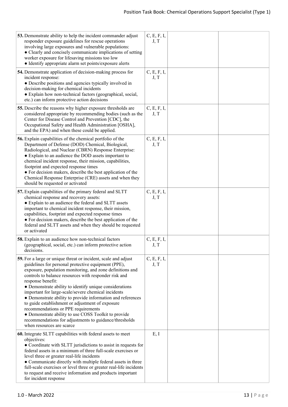| 53. Demonstrate ability to help the incident commander adjust<br>responder exposure guidelines for rescue operations<br>involving large exposures and vulnerable populations:<br>• Clearly and concisely communicate implications of setting<br>worker exposure for lifesaving missions too low<br>• Identify appropriate alarm set points/exposure alerts                                                                                                                                                                                                                                                                                                                                  | C, E, F, I,<br>J, T |  |
|---------------------------------------------------------------------------------------------------------------------------------------------------------------------------------------------------------------------------------------------------------------------------------------------------------------------------------------------------------------------------------------------------------------------------------------------------------------------------------------------------------------------------------------------------------------------------------------------------------------------------------------------------------------------------------------------|---------------------|--|
| 54. Demonstrate application of decision-making process for<br>incident response:<br>• Describe positions and agencies typically involved in<br>decision-making for chemical incidents<br>• Explain how non-technical factors (geographical, social,<br>etc.) can inform protective action decisions                                                                                                                                                                                                                                                                                                                                                                                         | C, E, F, I,<br>J, T |  |
| 55. Describe the reasons why higher exposure thresholds are<br>considered appropriate by recommending bodies (such as the<br>Center for Disease Control and Prevention [CDC], the<br>Occupational Safety and Health Administration [OSHA],<br>and the EPA) and when these could be applied.                                                                                                                                                                                                                                                                                                                                                                                                 | C, E, F, I,<br>J, T |  |
| <b>56.</b> Explain capabilities of the chemical portfolio of the<br>Department of Defense (DOD) Chemical, Biological,<br>Radiological, and Nuclear (CBRN) Response Enterprise:<br>• Explain to an audience the DOD assets important to<br>chemical incident response, their mission, capabilities,<br>footprint and expected response times<br>• For decision makers, describe the best application of the<br>Chemical Response Enterprise (CRE) assets and when they<br>should be requested or activated                                                                                                                                                                                   | C, E, F, I,<br>J, T |  |
| 57. Explain capabilities of the primary federal and SLTT<br>chemical response and recovery assets:<br>• Explain to an audience the federal and SLTT assets<br>important to chemical incident response, their mission,<br>capabilities, footprint and expected response times<br>• For decision makers, describe the best application of the<br>federal and SLTT assets and when they should be requested<br>or activated                                                                                                                                                                                                                                                                    | C, E, F, I,<br>J, T |  |
| 58. Explain to an audience how non-technical factors<br>(geographical, social, etc.) can inform protective action<br>decisions.                                                                                                                                                                                                                                                                                                                                                                                                                                                                                                                                                             | C, E, F, I,<br>J, T |  |
| 59. For a large or unique threat or incident, scale and adjust<br>guidelines for personal protective equipment (PPE),<br>exposure, population monitoring, and zone definitions and<br>controls to balance resources with responder risk and<br>response benefit:<br>• Demonstrate ability to identify unique considerations<br>important for large-scale/severe chemical incidents<br>• Demonstrate ability to provide information and references<br>to guide establishment or adjustment of exposure<br>recommendations or PPE requirements<br>• Demonstrate ability to use COSS Toolkit to provide<br>recommendations for adjustments to guidance/thresholds<br>when resources are scarce | C, E, F, I,<br>J, T |  |
| 60. Integrate SLTT capabilities with federal assets to meet<br>objectives:<br>• Coordinate with SLTT jurisdictions to assist in requests for<br>federal assets in a minimum of three full-scale exercises or<br>level three or greater real-life incidents<br>• Communicate directly with multiple federal assets in three<br>full-scale exercises or level three or greater real-life incidents<br>to request and receive information and products important<br>for incident response                                                                                                                                                                                                      | E, I                |  |